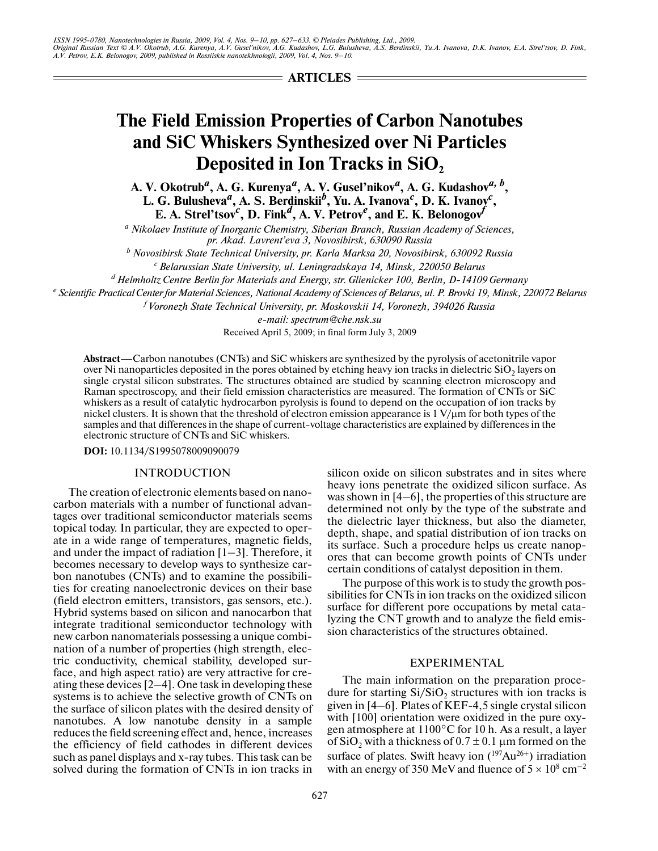$=$  **ARTICLES**  $=$ 

# **The Field Emission Properties of Carbon Nanotubes and SiC Whiskers Synthesized over Ni Particles Deposited in Ion Tracks in SiO**<sub>2</sub>

**A. V. Okotrub***<sup>a</sup>* **, A. G. Kurenya***<sup>a</sup>* **, A. V. Gusel'nikov***<sup>a</sup>* **, A. G. Kudashov***a, b***,**  L. G. Bulusheva<sup>a</sup>, A. S. Berdinskii<sup>b</sup>, Yu. A. Ivanova<sup>c</sup>, D. K. Ivanov<sup>c</sup>, **E.** A. Strel'tsov<sup>c</sup>, D. Fink<sup>*d*</sup>, A. V. Petrov<sup>*e*</sup>, and E. K. Belonogov<sup>*f*</sup>

*a Nikolaev Institute of Inorganic Chemistry, Siberian Branch, Russian Academy of Sciences, pr. Akad. Lavrent'eva 3, Novosibirsk, 630090 Russia*

*b Novosibirsk State Technical University, pr. Karla Marksa 20, Novosibirsk, 630092 Russia c Belarussian State University, ul. Leningradskaya 14, Minsk, 220050 Belarus*

*d Helmholtz Centre Berlin for Materials and Energy, str. Glienicker 100, Berlin, D14109 Germany*

*e Scientific Practical Center for Material Sciences, National Academy of Sciences of Belarus, ul. P. Brovki 19, Minsk, 220072 Belarus*

*f Voronezh State Technical University, pr. Moskovskii 14, Voronezh, 394026 Russia*

*email: spectrum@che.nsk.su*

Received April 5, 2009; in final form July 3, 2009

**Abstract**—Carbon nanotubes (CNTs) and SiC whiskers are synthesized by the pyrolysis of acetonitrile vapor over Ni nanoparticles deposited in the pores obtained by etching heavy ion tracks in dielectric  $SiO<sub>2</sub>$  layers on single crystal silicon substrates. The structures obtained are studied by scanning electron microscopy and Raman spectroscopy, and their field emission characteristics are measured. The formation of CNTs or SiC whiskers as a result of catalytic hydrocarbon pyrolysis is found to depend on the occupation of ion tracks by nickel clusters. It is shown that the threshold of electron emission appearance is  $1 \text{ V}/\mu$ m for both types of the samples and that differences in the shape of current-voltage characteristics are explained by differences in the electronic structure of CNTs and SiC whiskers.

**DOI:** 10.1134/S1995078009090079

# INTRODUCTION

The creation of electronic elements based on nano carbon materials with a number of functional advan tages over traditional semiconductor materials seems topical today. In particular, they are expected to oper ate in a wide range of temperatures, magnetic fields, and under the impact of radiation  $[1-3]$ . Therefore, it becomes necessary to develop ways to synthesize car bon nanotubes (CNTs) and to examine the possibili ties for creating nanoelectronic devices on their base (field electron emitters, transistors, gas sensors, etc.). Hybrid systems based on silicon and nanocarbon that integrate traditional semiconductor technology with new carbon nanomaterials possessing a unique combi nation of a number of properties (high strength, elec tric conductivity, chemical stability, developed sur face, and high aspect ratio) are very attractive for cre ating these devices [2–4]. One task in developing these systems is to achieve the selective growth of CNTs on the surface of silicon plates with the desired density of nanotubes. A low nanotube density in a sample reduces the field screening effect and, hence, increases the efficiency of field cathodes in different devices such as panel displays and x-ray tubes. This task can be solved during the formation of CNTs in ion tracks in silicon oxide on silicon substrates and in sites where heavy ions penetrate the oxidized silicon surface. As was shown in [4–6], the properties of this structure are determined not only by the type of the substrate and the dielectric layer thickness, but also the diameter, depth, shape, and spatial distribution of ion tracks on its surface. Such a procedure helps us create nanop ores that can become growth points of CNTs under certain conditions of catalyst deposition in them.

The purpose of this work is to study the growth pos sibilities for CNTs in ion tracks on the oxidized silicon surface for different pore occupations by metal cata lyzing the CNT growth and to analyze the field emis sion characteristics of the structures obtained.

### EXPERIMENTAL

The main information on the preparation proce dure for starting  $Si/SiO<sub>2</sub>$  structures with ion tracks is given in  $[4–6]$ . Plates of KEF-4,5 single crystal silicon with [100] orientation were oxidized in the pure oxygen atmosphere at 1100°C for 10 h. As a result, a layer of SiO<sub>2</sub> with a thickness of  $0.7 \pm 0.1$  µm formed on the surface of plates. Swift heavy ion  $(^{197}Au^{26+})$  irradiation with an energy of 350 MeV and fluence of  $5 \times 10^8$  cm<sup>-2</sup>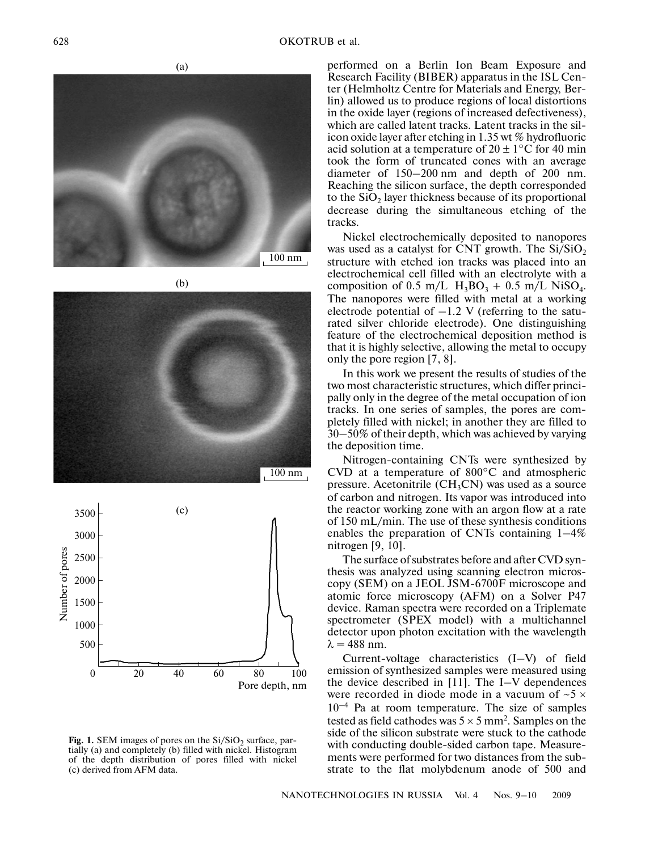





**Fig. 1.** SEM images of pores on the  $Si/SiO<sub>2</sub>$  surface, partially (a) and completely (b) filled with nickel. Histogram of the depth distribution of pores filled with nickel (c) derived from AFM data.

performed on a Berlin Ion Beam Exposure and Research Facility (BIBER) apparatus in the ISL Cen ter (Helmholtz Centre for Materials and Energy, Ber lin) allowed us to produce regions of local distortions in the oxide layer (regions of increased defectiveness), which are called latent tracks. Latent tracks in the sil icon oxide layer after etching in 1.35 wt % hydrofluoric acid solution at a temperature of  $20 \pm 1$ °C for 40 min took the form of truncated cones with an average diameter of 150–200 nm and depth of 200 nm. Reaching the silicon surface, the depth corresponded to the  $SiO<sub>2</sub>$  layer thickness because of its proportional decrease during the simultaneous etching of the tracks.

Nickel electrochemically deposited to nanopores was used as a catalyst for CNT growth. The  $Si/SiO<sub>2</sub>$ structure with etched ion tracks was placed into an electrochemical cell filled with an electrolyte with a composition of 0.5 m/L  $H_3BO_3 + 0.5$  m/L NiSO<sub>4</sub>. The nanopores were filled with metal at a working electrode potential of  $-1.2$  V (referring to the saturated silver chloride electrode). One distinguishing feature of the electrochemical deposition method is that it is highly selective, allowing the metal to occupy only the pore region [7, 8].

In this work we present the results of studies of the two most characteristic structures, which differ princi pally only in the degree of the metal occupation of ion tracks. In one series of samples, the pores are com pletely filled with nickel; in another they are filled to 30–50% of their depth, which was achieved by varying the deposition time.

Nitrogen-containing CNTs were synthesized by CVD at a temperature of 800°C and atmospheric pressure. Acetonitrile  $(CH_3CN)$  was used as a source of carbon and nitrogen. Its vapor was introduced into the reactor working zone with an argon flow at a rate of 150 mL/min. The use of these synthesis conditions enables the preparation of CNTs containing 1–4% nitrogen [9, 10].

The surface of substrates before and after CVD syn thesis was analyzed using scanning electron micros copy (SEM) on a JEOL JSM-6700F microscope and atomic force microscopy (AFM) on a Solver P47 device. Raman spectra were recorded on a Triplemate spectrometer (SPEX model) with a multichannel detector upon photon excitation with the wavelength  $\lambda = 488$  nm.

Current-voltage characteristics  $(I-V)$  of field emission of synthesized samples were measured using the device described in [11]. The I–V dependences were recorded in diode mode in a vacuum of  $\sim$  5  $\times$  $10^{-4}$  Pa at room temperature. The size of samples tested as field cathodes was  $5 \times 5$  mm<sup>2</sup>. Samples on the side of the silicon substrate were stuck to the cathode with conducting double-sided carbon tape. Measurements were performed for two distances from the sub strate to the flat molybdenum anode of 500 and

NANOTECHNOLOGIES IN RUSSIA Vol. 4 Nos. 9–10 2009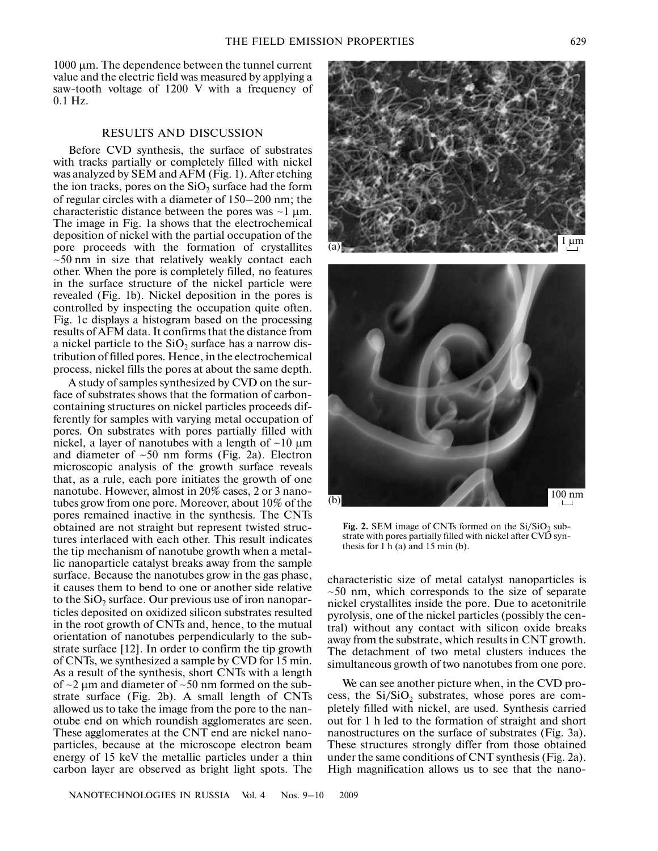1000 µm. The dependence between the tunnel current value and the electric field was measured by applying a saw-tooth voltage of 1200 V with a frequency of 0.1 Hz.

#### RESULTS AND DISCUSSION

Before CVD synthesis, the surface of substrates with tracks partially or completely filled with nickel was analyzed by SEM and AFM (Fig. 1). After etching the ion tracks, pores on the  $SiO<sub>2</sub>$  surface had the form of regular circles with a diameter of 150–200 nm; the characteristic distance between the pores was  $\sim$ 1 µm. The image in Fig. 1a shows that the electrochemical deposition of nickel with the partial occupation of the pore proceeds with the formation of crystallites  $\sim$  50 nm in size that relatively weakly contact each other. When the pore is completely filled, no features in the surface structure of the nickel particle were revealed (Fig. 1b). Nickel deposition in the pores is controlled by inspecting the occupation quite often. Fig. 1c displays a histogram based on the processing results of AFM data. It confirms that the distance from a nickel particle to the  $SiO<sub>2</sub>$  surface has a narrow distribution of filled pores. Hence, in the electrochemical process, nickel fills the pores at about the same depth.

A study of samples synthesized by CVD on the sur face of substrates shows that the formation of carbon containing structures on nickel particles proceeds dif ferently for samples with varying metal occupation of pores. On substrates with pores partially filled with nickel, a layer of nanotubes with a length of  $\sim$ 10  $\mu$ m and diameter of  $~50$  nm forms (Fig. 2a). Electron microscopic analysis of the growth surface reveals that, as a rule, each pore initiates the growth of one nanotube. However, almost in 20% cases, 2 or 3 nano tubes grow from one pore. Moreover, about 10% of the pores remained inactive in the synthesis. The CNTs obtained are not straight but represent twisted struc tures interlaced with each other. This result indicates the tip mechanism of nanotube growth when a metal lic nanoparticle catalyst breaks away from the sample surface. Because the nanotubes grow in the gas phase, it causes them to bend to one or another side relative to the  $SiO<sub>2</sub>$  surface. Our previous use of iron nanoparticles deposited on oxidized silicon substrates resulted in the root growth of CNTs and, hence, to the mutual orientation of nanotubes perpendicularly to the sub strate surface [12]. In order to confirm the tip growth of CNTs, we synthesized a sample by CVD for 15 min. As a result of the synthesis, short CNTs with a length of  $\sim$ 2  $\mu$ m and diameter of  $\sim$ 50 nm formed on the substrate surface (Fig. 2b). A small length of CNTs allowed us to take the image from the pore to the nan otube end on which roundish agglomerates are seen. These agglomerates at the CNT end are nickel nano particles, because at the microscope electron beam energy of 15 keV the metallic particles under a thin carbon layer are observed as bright light spots. The



**Fig. 2.** SEM image of CNTs formed on the  $Si/SiO<sub>2</sub>$  substrate with pores partially filled with nickel after CVD synthesis for  $1 h(a)$  and  $15 min(b)$ .

characteristic size of metal catalyst nanoparticles is  $\sim$ 50 nm, which corresponds to the size of separate nickel crystallites inside the pore. Due to acetonitrile pyrolysis, one of the nickel particles (possibly the cen tral) without any contact with silicon oxide breaks away from the substrate, which results in CNT growth. The detachment of two metal clusters induces the simultaneous growth of two nanotubes from one pore.

We can see another picture when, in the CVD pro cess, the  $Si/SiO<sub>2</sub>$  substrates, whose pores are completely filled with nickel, are used. Synthesis carried out for 1 h led to the formation of straight and short nanostructures on the surface of substrates (Fig. 3a). These structures strongly differ from those obtained under the same conditions of CNT synthesis (Fig. 2a). High magnification allows us to see that the nano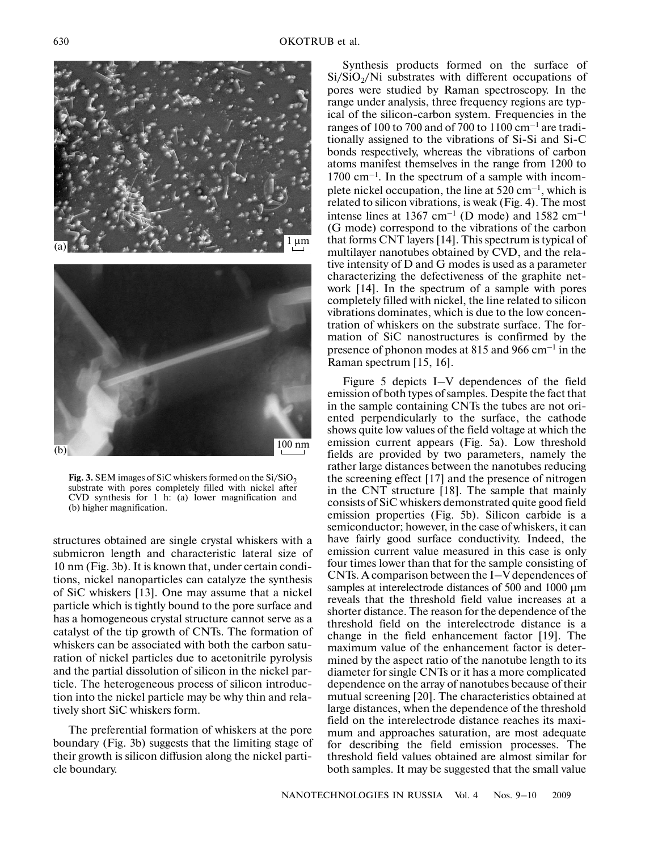



**Fig. 3.** SEM images of SiC whiskers formed on the  $Si/SiO<sub>2</sub>$ substrate with pores completely filled with nickel after CVD synthesis for 1 h: (a) lower magnification and (b) higher magnification.

structures obtained are single crystal whiskers with a submicron length and characteristic lateral size of 10 nm (Fig. 3b). It is known that, under certain condi tions, nickel nanoparticles can catalyze the synthesis of SiC whiskers [13]. One may assume that a nickel particle which is tightly bound to the pore surface and has a homogeneous crystal structure cannot serve as a catalyst of the tip growth of CNTs. The formation of whiskers can be associated with both the carbon satu ration of nickel particles due to acetonitrile pyrolysis and the partial dissolution of silicon in the nickel par ticle. The heterogeneous process of silicon introduc tion into the nickel particle may be why thin and rela tively short SiC whiskers form.

The preferential formation of whiskers at the pore boundary (Fig. 3b) suggests that the limiting stage of their growth is silicon diffusion along the nickel parti cle boundary.

Synthesis products formed on the surface of  $Si/SiO<sub>2</sub>/Ni$  substrates with different occupations of pores were studied by Raman spectroscopy. In the range under analysis, three frequency regions are typ ical of the silicon-carbon system. Frequencies in the ranges of 100 to 700 and of 700 to 1100 cm<sup>-1</sup> are traditionally assigned to the vibrations of Si-Si and Si-C bonds respectively, whereas the vibrations of carbon atoms manifest themselves in the range from 1200 to  $1700 \text{ cm}^{-1}$ . In the spectrum of a sample with incomplete nickel occupation, the line at  $520 \text{ cm}^{-1}$ , which is related to silicon vibrations, is weak (Fig. 4). The most intense lines at 1367 cm<sup>-1</sup> (D mode) and 1582 cm<sup>-1</sup> (G mode) correspond to the vibrations of the carbon that forms CNT layers [14]. This spectrum is typical of multilayer nanotubes obtained by CVD, and the rela tive intensity of D and G modes is used as a parameter characterizing the defectiveness of the graphite net work [14]. In the spectrum of a sample with pores completely filled with nickel, the line related to silicon vibrations dominates, which is due to the low concen tration of whiskers on the substrate surface. The for mation of SiC nanostructures is confirmed by the presence of phonon modes at 815 and 966 cm–1 in the Raman spectrum [15, 16].

Figure 5 depicts I–V dependences of the field emission of both types of samples. Despite the fact that in the sample containing CNTs the tubes are not ori ented perpendicularly to the surface, the cathode shows quite low values of the field voltage at which the emission current appears (Fig. 5a). Low threshold fields are provided by two parameters, namely the rather large distances between the nanotubes reducing the screening effect [17] and the presence of nitrogen in the CNT structure [18]. The sample that mainly consists of SiC whiskers demonstrated quite good field emission properties (Fig. 5b). Silicon carbide is a semiconductor; however, in the case of whiskers, it can have fairly good surface conductivity. Indeed, the emission current value measured in this case is only four times lower than that for the sample consisting of CNTs. A comparison between the I–V dependences of samples at interelectrode distances of 500 and 1000  $\mu$ m reveals that the threshold field value increases at a shorter distance. The reason for the dependence of the threshold field on the interelectrode distance is a change in the field enhancement factor [19]. The maximum value of the enhancement factor is deter mined by the aspect ratio of the nanotube length to its diameter for single CNTs or it has a more complicated dependence on the array of nanotubes because of their mutual screening [20]. The characteristics obtained at large distances, when the dependence of the threshold field on the interelectrode distance reaches its maxi mum and approaches saturation, are most adequate for describing the field emission processes. The threshold field values obtained are almost similar for both samples. It may be suggested that the small value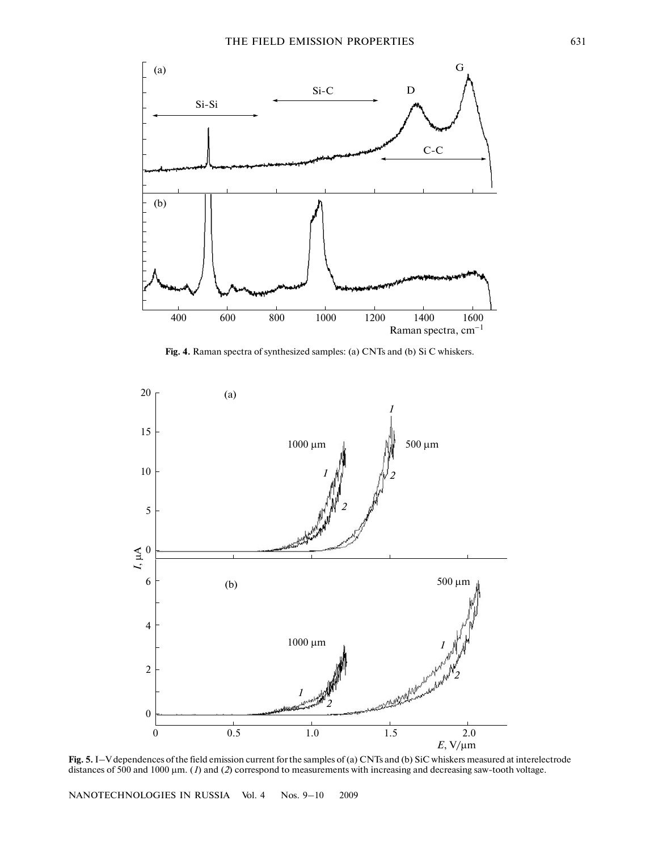

**Fig. 4.** Raman spectra of synthesized samples: (a) CNTs and (b) Si C whiskers.



**Fig. 5.** I–V dependences of the field emission current for the samples of (a) CNTs and (b) SiC whiskers measured at interelectrode distances of 500 and 1000 *µ*m. (*1*) and (*2*) correspond to measurements with increasing and decreasing sawtooth voltage.

NANOTECHNOLOGIES IN RUSSIA Vol. 4 Nos. 9–10 2009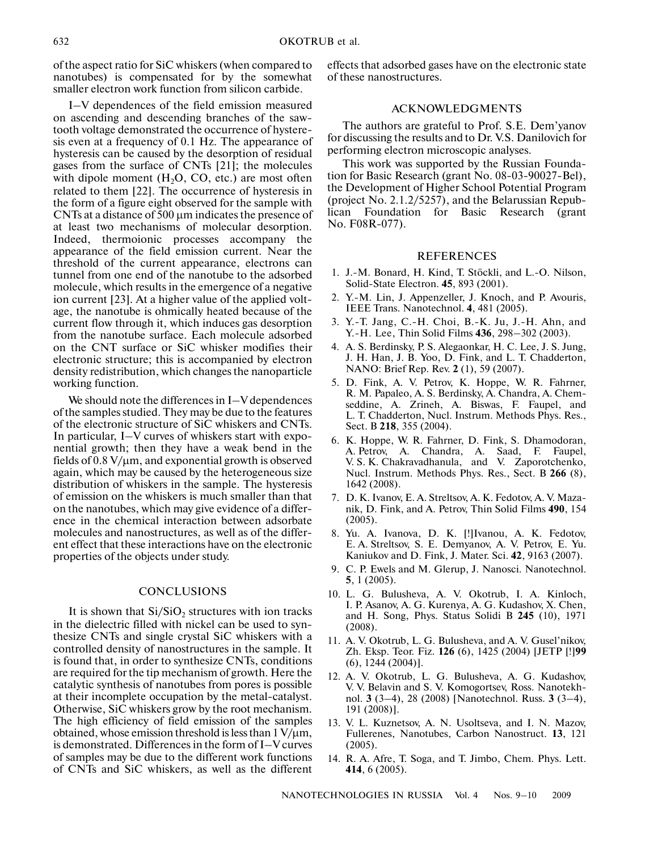of the aspect ratio for SiC whiskers (when compared to nanotubes) is compensated for by the somewhat smaller electron work function from silicon carbide.

I–V dependences of the field emission measured on ascending and descending branches of the saw tooth voltage demonstrated the occurrence of hystere sis even at a frequency of 0.1 Hz. The appearance of hysteresis can be caused by the desorption of residual gases from the surface of CNTs [21]; the molecules with dipole moment  $(H<sub>2</sub>O, CO, etc.)$  are most often related to them [22]. The occurrence of hysteresis in the form of a figure eight observed for the sample with CNTs at a distance of 500 µm indicates the presence of at least two mechanisms of molecular desorption. Indeed, thermoionic processes accompany the appearance of the field emission current. Near the threshold of the current appearance, electrons can tunnel from one end of the nanotube to the adsorbed molecule, which results in the emergence of a negative ion current [23]. At a higher value of the applied volt age, the nanotube is ohmically heated because of the current flow through it, which induces gas desorption from the nanotube surface. Each molecule adsorbed on the CNT surface or SiC whisker modifies their electronic structure; this is accompanied by electron density redistribution, which changes the nanoparticle working function.

We should note the differences in I–V dependences of the samples studied. They may be due to the features of the electronic structure of SiC whiskers and CNTs. In particular, I–V curves of whiskers start with expo nential growth; then they have a weak bend in the fields of  $0.8 \text{ V}/\mu$ m, and exponential growth is observed again, which may be caused by the heterogeneous size distribution of whiskers in the sample. The hysteresis of emission on the whiskers is much smaller than that on the nanotubes, which may give evidence of a differ ence in the chemical interaction between adsorbate molecules and nanostructures, as well as of the differ ent effect that these interactions have on the electronic properties of the objects under study.

#### **CONCLUSIONS**

It is shown that  $Si/SiO<sub>2</sub>$  structures with ion tracks in the dielectric filled with nickel can be used to syn thesize CNTs and single crystal SiC whiskers with a controlled density of nanostructures in the sample. It is found that, in order to synthesize CNTs, conditions are required for the tip mechanism of growth. Here the catalytic synthesis of nanotubes from pores is possible at their incomplete occupation by the metal-catalyst. Otherwise, SiC whiskers grow by the root mechanism. The high efficiency of field emission of the samples obtained, whose emission threshold is less than  $1 \text{ V}/\text{\mu m}$ , is demonstrated. Differences in the form of I–V curves of samples may be due to the different work functions of CNTs and SiC whiskers, as well as the different effects that adsorbed gases have on the electronic state of these nanostructures.

# ACKNOWLEDGMENTS

The authors are grateful to Prof. S.E. Dem'yanov for discussing the results and to Dr. V.S. Danilovich for performing electron microscopic analyses.

This work was supported by the Russian Founda tion for Basic Research (grant No. 08-03-90027-Bel), the Development of Higher School Potential Program (project No. 2.1.2/5257), and the Belarussian Repub lican Foundation for Basic Research (grant No. F08R-077).

## **REFERENCES**

- 1. J.-M. Bonard, H. Kind, T. Stöckli, and L.-O. Nilson, Solid-State Electron. **45**, 893 (2001).
- 2. Y.-M. Lin, J. Appenzeller, J. Knoch, and P. Avouris, IEEE Trans. Nanotechnol. **4**, 481 (2005).
- 3. Y.-T. Jang, C.-H. Choi, B.-K. Ju, J.-H. Ahn, and Y.H. Lee, Thin Solid Films **436**, 298–302 (2003).
- 4. A. S. Berdinsky, P. S. Alegaonkar, H. C. Lee, J. S. Jung, J. H. Han, J. B. Yoo, D. Fink, and L. T. Chadderton, NANO: Brief Rep. Rev. **2** (1), 59 (2007).
- 5. D. Fink, A. V. Petrov, K. Hoppe, W. R. Fahrner, R. M. Papaleo, A. S. Berdinsky, A. Chandra, A. Chem seddine, A. Zrineh, A. Biswas, F. Faupel, and L. T. Chadderton, Nucl. Instrum. Methods Phys. Res., Sect. B **218**, 355 (2004).
- 6. K. Hoppe, W. R. Fahrner, D. Fink, S. Dhamodoran, A. Petrov, A. Chandra, A. Saad, F. Faupel, V. S. K. Chakravadhanula, and V. Zaporotchenko, Nucl. Instrum. Methods Phys. Res., Sect. B **266** (8), 1642 (2008).
- 7. D. K. Ivanov, E. A. Streltsov, A. K. Fedotov, A. V. Maza nik, D. Fink, and A. Petrov, Thin Solid Films **490**, 154 (2005).
- 8. Yu. A. Ivanova, D. K. [!]Ivanou, A. K. Fedotov, E. A. Streltsov, S. E. Demyanov, A. V. Petrov, E. Yu. Kaniukov and D. Fink, J. Mater. Sci. **42**, 9163 (2007).
- 9. C. P. Ewels and M. Glerup, J. Nanosci. Nanotechnol. **5**, 1 (2005).
- 10. L. G. Bulusheva, A. V. Okotrub, I. A. Kinloch, I. P. Asanov, A. G. Kurenya, A. G. Kudashov, X. Chen, and H. Song, Phys. Status Solidi B **245** (10), 1971 (2008).
- 11. A. V. Okotrub, L. G. Bulusheva, and A. V. Gusel'nikov, Zh. Eksp. Teor. Fiz. **126** (6), 1425 (2004) [JETP [!]**99** (6), 1244 (2004)].
- 12. A. V. Okotrub, L. G. Bulusheva, A. G. Kudashov, V. V. Belavin and S. V. Komogortsev, Ross. Nanotekh nol. **3** (3–4), 28 (2008) [Nanotechnol. Russ. **3** (3–4), 191 (2008)].
- 13. V. L. Kuznetsov, A. N. Usoltseva, and I. N. Mazov, Fullerenes, Nanotubes, Carbon Nanostruct. **13**, 121 (2005).
- 14. R. A. Afre, T. Soga, and T. Jimbo, Chem. Phys. Lett. **414**, 6 (2005).